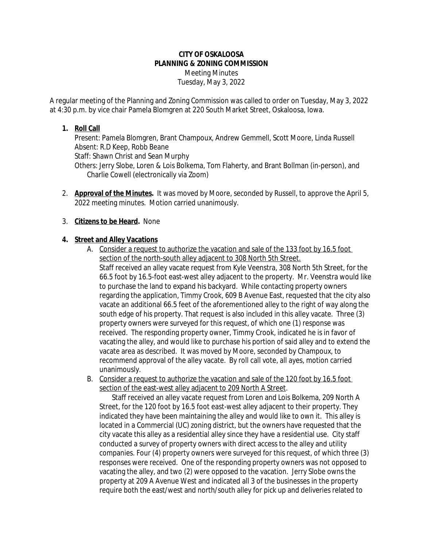## **CITY OF OSKALOOSA PLANNING & ZONING COMMISSION** Meeting Minutes Tuesday, May 3, 2022

A regular meeting of the Planning and Zoning Commission was called to order on Tuesday, May 3, 2022 at 4:30 p.m. by vice chair Pamela Blomgren at 220 South Market Street, Oskaloosa, Iowa.

## **1. Roll Call**

Present: Pamela Blomgren, Brant Champoux, Andrew Gemmell, Scott Moore, Linda Russell Absent: R.D Keep, Robb Beane Staff: Shawn Christ and Sean Murphy Others: Jerry Slobe, Loren & Lois Bolkema, Tom Flaherty, and Brant Bollman (in-person), and Charlie Cowell (electronically via Zoom)

2. **Approval of the Minutes.** It was moved by Moore, seconded by Russell, to approve the April 5, 2022 meeting minutes. Motion carried unanimously.

# 3. **Citizens to be Heard.** None

# **4. Street and Alley Vacations**

- A. Consider a request to authorize the vacation and sale of the 133 foot by 16.5 foot section of the north-south alley adjacent to 308 North 5th Street. Staff received an alley vacate request from Kyle Veenstra, 308 North 5th Street, for the 66.5 foot by 16.5-foot east-west alley adjacent to the property. Mr. Veenstra would like to purchase the land to expand his backyard. While contacting property owners regarding the application, Timmy Crook, 609 B Avenue East, requested that the city also vacate an additional 66.5 feet of the aforementioned alley to the right of way along the south edge of his property. That request is also included in this alley vacate. Three (3) property owners were surveyed for this request, of which one (1) response was received. The responding property owner, Timmy Crook, indicated he is in favor of vacating the alley, and would like to purchase his portion of said alley and to extend the vacate area as described. It was moved by Moore, seconded by Champoux, to recommend approval of the alley vacate. By roll call vote, all ayes, motion carried unanimously.
- B. Consider a request to authorize the vacation and sale of the 120 foot by 16.5 foot section of the east-west alley adjacent to 209 North A Street.

Staff received an alley vacate request from Loren and Lois Bolkema, 209 North A Street, for the 120 foot by 16.5 foot east-west alley adjacent to their property. They indicated they have been maintaining the alley and would like to own it. This alley is located in a Commercial (UC) zoning district, but the owners have requested that the city vacate this alley as a residential alley since they have a residential use. City staff conducted a survey of property owners with direct access to the alley and utility companies. Four (4) property owners were surveyed for this request, of which three (3) responses were received. One of the responding property owners was not opposed to vacating the alley, and two (2) were opposed to the vacation. Jerry Slobe owns the property at 209 A Avenue West and indicated all 3 of the businesses in the property require both the east/west and north/south alley for pick up and deliveries related to